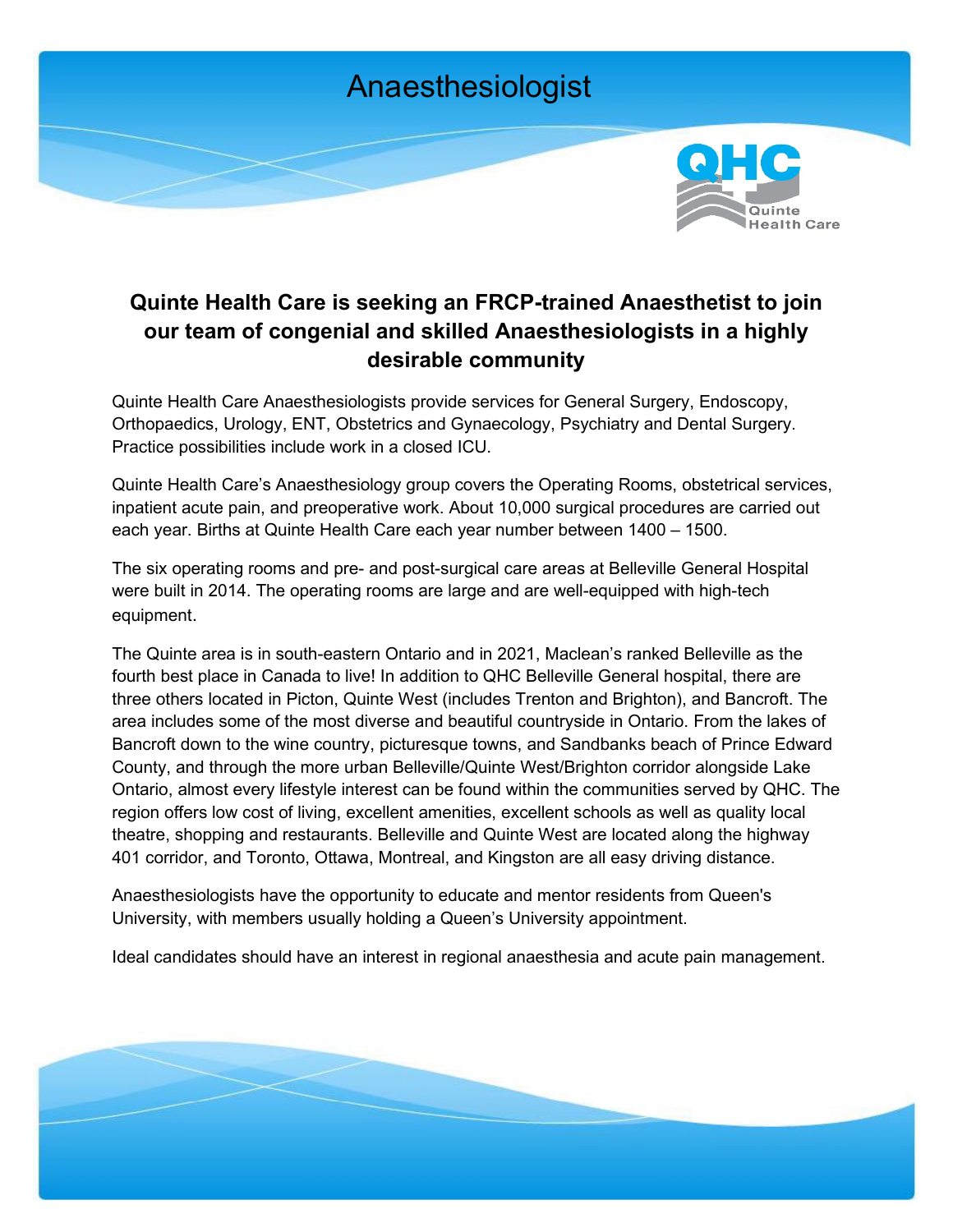

## **Quinte Health Care is seeking an FRCP-trained Anaesthetist to join our team of congenial and skilled Anaesthesiologists in a highly desirable community**

Quinte Health Care Anaesthesiologists provide services for General Surgery, Endoscopy, Orthopaedics, Urology, ENT, Obstetrics and Gynaecology, Psychiatry and Dental Surgery. Practice possibilities include work in a closed ICU.

Quinte Health Care's Anaesthesiology group covers the Operating Rooms, obstetrical services, inpatient acute pain, and preoperative work. About 10,000 surgical procedures are carried out each year. Births at Quinte Health Care each year number between 1400 – 1500.

The six operating rooms and pre- and post-surgical care areas at Belleville General Hospital were built in 2014. The operating rooms are large and are well-equipped with high-tech equipment.

The Quinte area is in south-eastern Ontario and in 2021, Maclean's ranked Belleville as the fourth best place in Canada to live! In addition to QHC Belleville General hospital, there are three others located in Picton, Quinte West (includes Trenton and Brighton), and Bancroft. The area includes some of the most diverse and beautiful countryside in Ontario. From the lakes of Bancroft down to the wine country, picturesque towns, and Sandbanks beach of Prince Edward County, and through the more urban Belleville/Quinte West/Brighton corridor alongside Lake Ontario, almost every lifestyle interest can be found within the communities served by QHC. The region offers low cost of living, excellent amenities, excellent schools as well as quality local theatre, shopping and restaurants. Belleville and Quinte West are located along the highway 401 corridor, and Toronto, Ottawa, Montreal, and Kingston are all easy driving distance.

Anaesthesiologists have the opportunity to educate and mentor residents from Queen's University, with members usually holding a Queen's University appointment.

Ideal candidates should have an interest in regional anaesthesia and acute pain management.